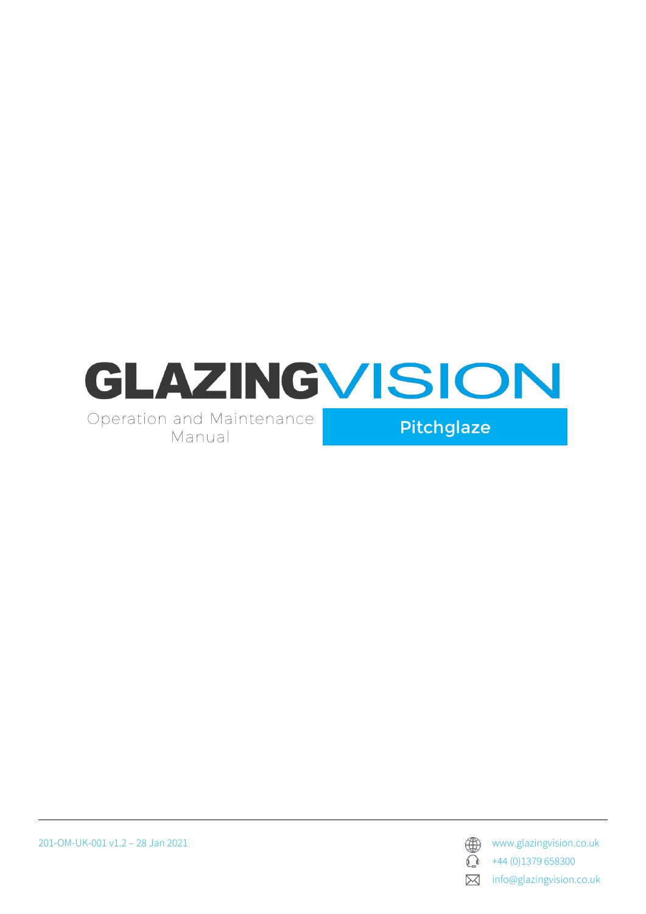





 $\bigodot$  +44 (0)1379 658300

**X** info@glazingvision.co.uk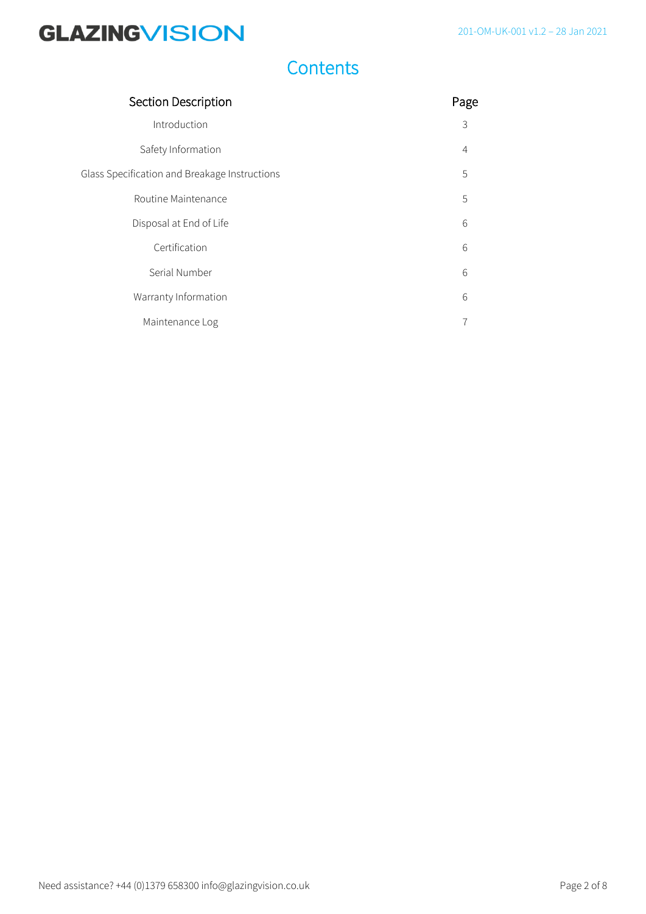### **Contents**

| Section Description                           |   |
|-----------------------------------------------|---|
| Introduction                                  | 3 |
| Safety Information                            | 4 |
| Glass Specification and Breakage Instructions | 5 |
| Routine Maintenance                           | 5 |
| Disposal at End of Life                       | 6 |
| Certification                                 | 6 |
| Serial Number                                 | 6 |
| Warranty Information                          | 6 |
| Maintenance Log                               |   |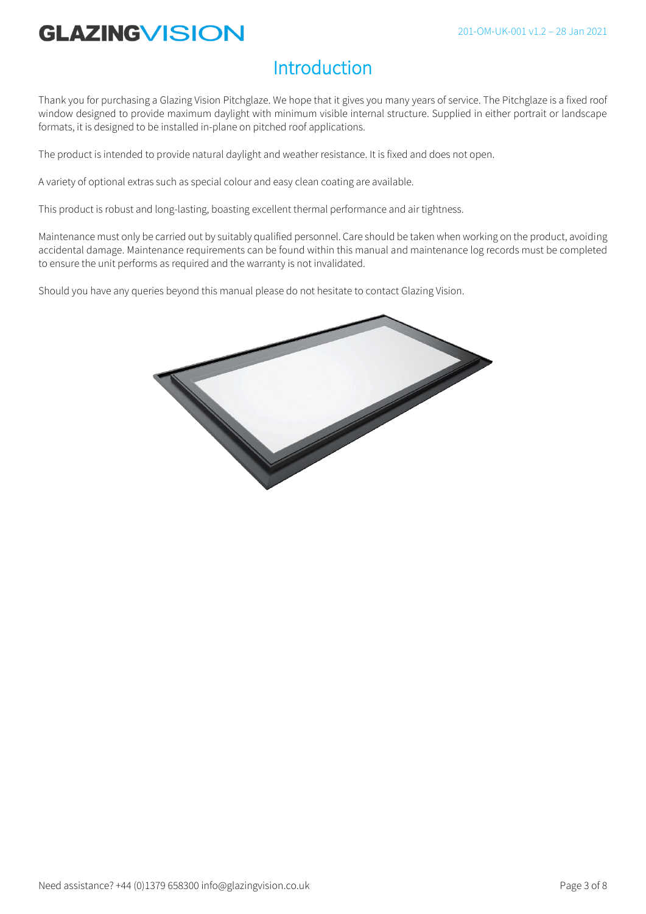### Introduction

Thank you for purchasing a Glazing Vision Pitchglaze. We hope that it gives you many years of service. The Pitchglaze is a fixed roof window designed to provide maximum daylight with minimum visible internal structure. Supplied in either portrait or landscape formats, it is designed to be installed in-plane on pitched roof applications.

The product is intended to provide natural daylight and weather resistance. It is fixed and does not open.

A variety of optional extras such as special colour and easy clean coating are available.

This product is robust and long-lasting, boasting excellent thermal performance and air tightness.

Maintenance must only be carried out by suitably qualified personnel. Care should be taken when working on the product, avoiding accidental damage. Maintenance requirements can be found within this manual and maintenance log records must be completed to ensure the unit performs as required and the warranty is not invalidated.

Should you have any queries beyond this manual please do not hesitate to contact Glazing Vision.

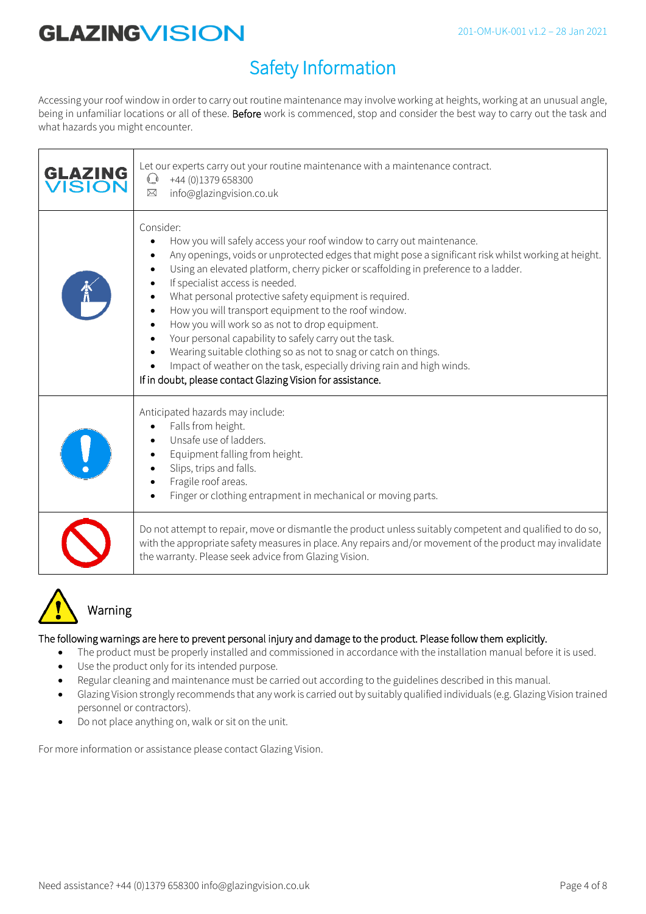## Safety Information

Accessing your roof window in order to carry out routine maintenance may involve working at heights, working at an unusual angle, being in unfamiliar locations or all of these. Before work is commenced, stop and consider the best way to carry out the task and what hazards you might encounter.

| <b>GLAZING</b><br>VISION | Let our experts carry out your routine maintenance with a maintenance contract.<br>$\mathbb{Q}$ +44 (0)1379 658300<br>⊠<br>info@glazingvision.co.uk                                                                                                                                                                                                                                                                                                                                                                                                                                                                                                                                                                                                            |
|--------------------------|----------------------------------------------------------------------------------------------------------------------------------------------------------------------------------------------------------------------------------------------------------------------------------------------------------------------------------------------------------------------------------------------------------------------------------------------------------------------------------------------------------------------------------------------------------------------------------------------------------------------------------------------------------------------------------------------------------------------------------------------------------------|
|                          | Consider:<br>How you will safely access your roof window to carry out maintenance.<br>Any openings, voids or unprotected edges that might pose a significant risk whilst working at height.<br>Using an elevated platform, cherry picker or scaffolding in preference to a ladder.<br>If specialist access is needed.<br>What personal protective safety equipment is required.<br>How you will transport equipment to the roof window.<br>How you will work so as not to drop equipment.<br>Your personal capability to safely carry out the task.<br>Wearing suitable clothing so as not to snag or catch on things.<br>Impact of weather on the task, especially driving rain and high winds.<br>If in doubt, please contact Glazing Vision for assistance. |
|                          | Anticipated hazards may include:<br>Falls from height.<br>Unsafe use of ladders.<br>Equipment falling from height.<br>Slips, trips and falls.<br>Fragile roof areas.<br>Finger or clothing entrapment in mechanical or moving parts.                                                                                                                                                                                                                                                                                                                                                                                                                                                                                                                           |
|                          | Do not attempt to repair, move or dismantle the product unless suitably competent and qualified to do so,<br>with the appropriate safety measures in place. Any repairs and/or movement of the product may invalidate<br>the warranty. Please seek advice from Glazing Vision.                                                                                                                                                                                                                                                                                                                                                                                                                                                                                 |



### Warning

#### The following warnings are here to prevent personal injury and damage to the product. Please follow them explicitly.

- The product must be properly installed and commissioned in accordance with the installation manual before it is used.
- Use the product only for its intended purpose.
- Regular cleaning and maintenance must be carried out according to the guidelines described in this manual.
- Glazing Vision strongly recommends that any work is carried out by suitably qualified individuals (e.g. Glazing Vision trained personnel or contractors).
- Do not place anything on, walk or sit on the unit.

For more information or assistance please contact Glazing Vision.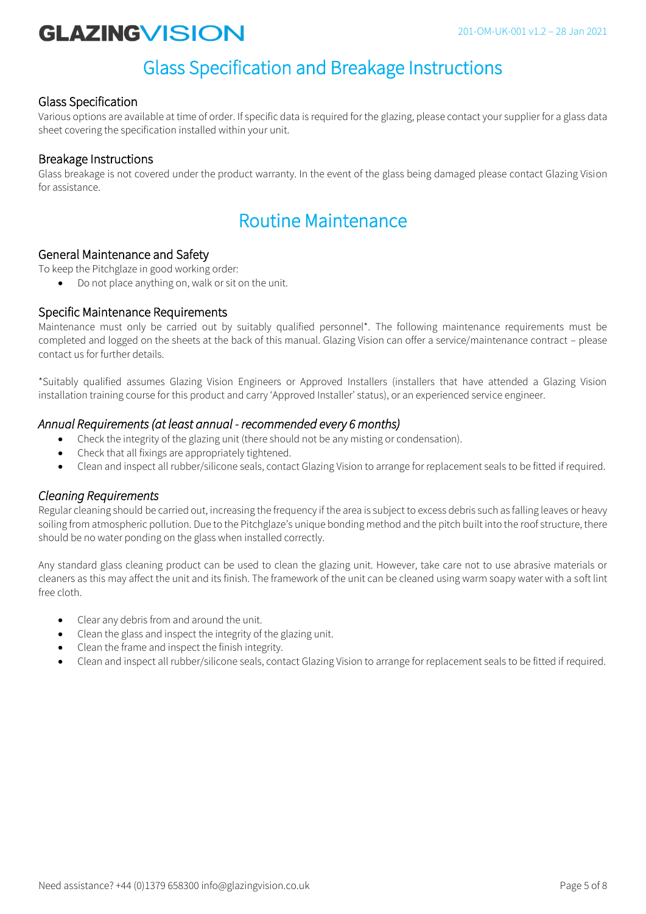### Glass Specification and Breakage Instructions

#### Glass Specification

Various options are available at time of order. If specific data is required for the glazing, please contact your supplier for a glass data sheet covering the specification installed within your unit.

#### Breakage Instructions

Glass breakage is not covered under the product warranty. In the event of the glass being damaged please contact Glazing Vision for assistance.

### Routine Maintenance

#### General Maintenance and Safety

To keep the Pitchglaze in good working order:

• Do not place anything on, walk or sit on the unit.

#### Specific Maintenance Requirements

Maintenance must only be carried out by suitably qualified personnel\*. The following maintenance requirements must be completed and logged on the sheets at the back of this manual. Glazing Vision can offer a service/maintenance contract – please contact us for further details.

\*Suitably qualified assumes Glazing Vision Engineers or Approved Installers (installers that have attended a Glazing Vision installation training course for this product and carry 'Approved Installer' status), or an experienced service engineer.

#### *Annual Requirements (at least annual - recommended every 6 months)*

- Check the integrity of the glazing unit (there should not be any misting or condensation).
- Check that all fixings are appropriately tightened.
- Clean and inspect all rubber/silicone seals, contact Glazing Vision to arrange for replacement seals to be fitted if required.

#### *Cleaning Requirements*

Regular cleaning should be carried out, increasing the frequency if the area is subject to excess debris such as falling leaves or heavy soiling from atmospheric pollution. Due to the Pitchglaze's unique bonding method and the pitch built into the roof structure, there should be no water ponding on the glass when installed correctly.

Any standard glass cleaning product can be used to clean the glazing unit. However, take care not to use abrasive materials or cleaners as this may affect the unit and its finish. The framework of the unit can be cleaned using warm soapy water with a soft lint free cloth.

- Clear any debris from and around the unit.
- Clean the glass and inspect the integrity of the glazing unit.
- Clean the frame and inspect the finish integrity.
- Clean and inspect all rubber/silicone seals, contact Glazing Vision to arrange for replacement seals to be fitted if required.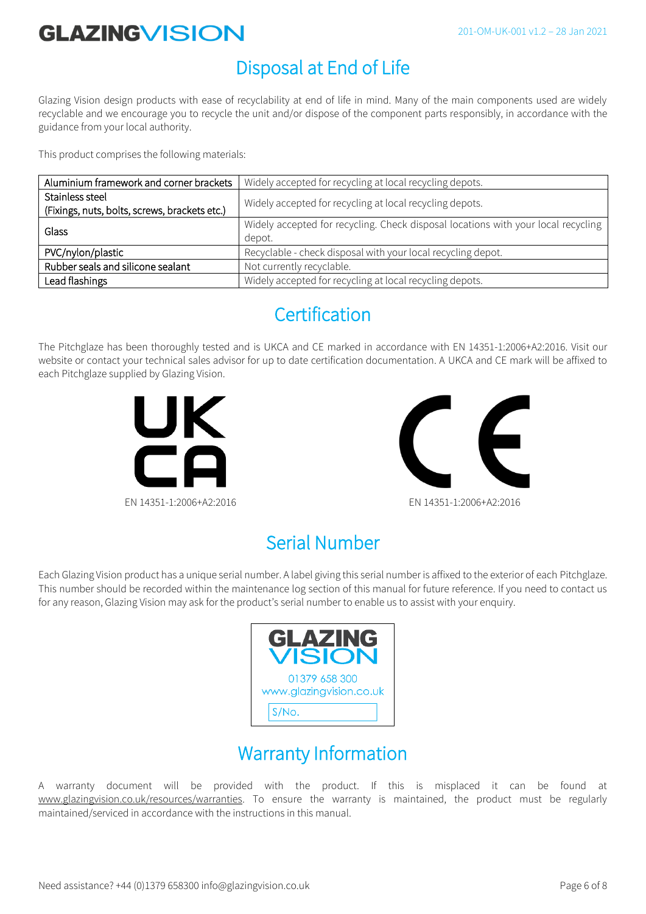#### 201-OM-UK-001 v1.2 – 28 Jan 2021

# **GLAZINGVISION**

### Disposal at End of Life

Glazing Vision design products with ease of recyclability at end of life in mind. Many of the main components used are widely recyclable and we encourage you to recycle the unit and/or dispose of the component parts responsibly, in accordance with the guidance from your local authority.

This product comprises the following materials:

| Aluminium framework and corner brackets                          | Widely accepted for recycling at local recycling depots.                                    |
|------------------------------------------------------------------|---------------------------------------------------------------------------------------------|
| Stainless steel<br>(Fixings, nuts, bolts, screws, brackets etc.) | Widely accepted for recycling at local recycling depots.                                    |
| Glass                                                            | Widely accepted for recycling. Check disposal locations with your local recycling<br>depot. |
| PVC/nylon/plastic                                                | Recyclable - check disposal with your local recycling depot.                                |
| Rubber seals and silicone sealant                                | Not currently recyclable.                                                                   |
| Lead flashings                                                   | Widely accepted for recycling at local recycling depots.                                    |

### **Certification**

The Pitchglaze has been thoroughly tested and is UKCA and CE marked in accordance with EN 14351-1:2006+A2:2016. Visit our website or contact your technical sales advisor for up to date certification documentation. A UKCA and CE mark will be affixed to each Pitchglaze supplied by Glazing Vision.





### Serial Number

Each Glazing Vision product has a unique serial number. A label giving this serial number is affixed to the exterior of each Pitchglaze. This number should be recorded within the maintenance log section of this manual for future reference. If you need to contact us for any reason, Glazing Vision may ask for the product's serial number to enable us to assist with your enquiry.



### Warranty Information

A warranty document will be provided with the product. If this is misplaced it can be found at www.glazingvision.co.uk/resources/warranties</u>. To ensure the warranty is maintained, the product must be regularly maintained/serviced in accordance with the instructions in this manual.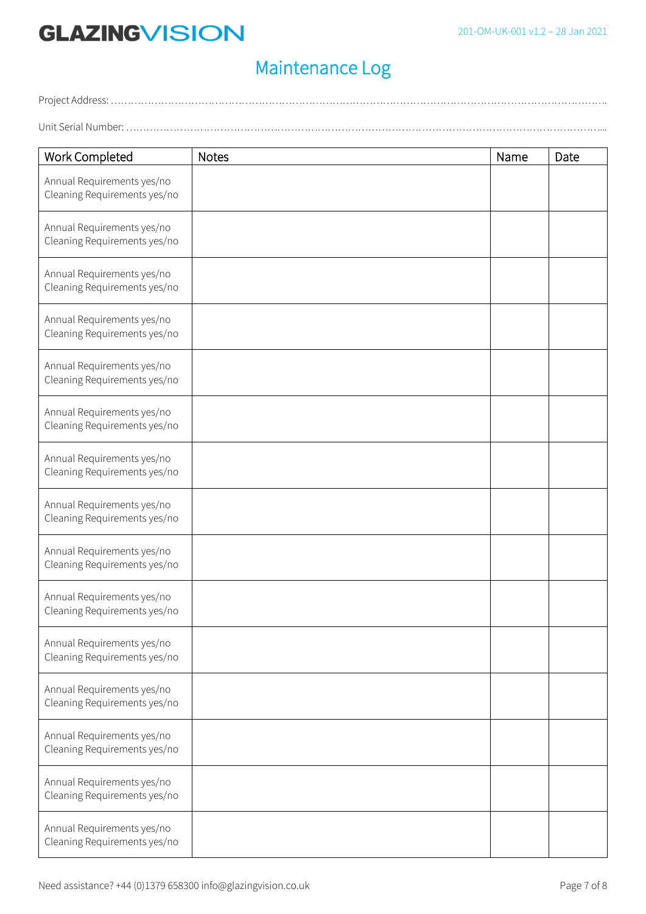## Maintenance Log

Project Address: …………………………………………………………………………………………………………………………………. Unit Serial Number: ……………………………………………………………………………………………………………………………...

| Work Completed                                             | <b>Notes</b> | Name | Date |
|------------------------------------------------------------|--------------|------|------|
| Annual Requirements yes/no<br>Cleaning Requirements yes/no |              |      |      |
| Annual Requirements yes/no<br>Cleaning Requirements yes/no |              |      |      |
| Annual Requirements yes/no<br>Cleaning Requirements yes/no |              |      |      |
| Annual Requirements yes/no<br>Cleaning Requirements yes/no |              |      |      |
| Annual Requirements yes/no<br>Cleaning Requirements yes/no |              |      |      |
| Annual Requirements yes/no<br>Cleaning Requirements yes/no |              |      |      |
| Annual Requirements yes/no<br>Cleaning Requirements yes/no |              |      |      |
| Annual Requirements yes/no<br>Cleaning Requirements yes/no |              |      |      |
| Annual Requirements yes/no<br>Cleaning Requirements yes/no |              |      |      |
| Annual Requirements yes/no<br>Cleaning Requirements yes/no |              |      |      |
| Annual Requirements yes/no<br>Cleaning Requirements yes/no |              |      |      |
| Annual Requirements yes/no<br>Cleaning Requirements yes/no |              |      |      |
| Annual Requirements yes/no<br>Cleaning Requirements yes/no |              |      |      |
| Annual Requirements yes/no<br>Cleaning Requirements yes/no |              |      |      |
| Annual Requirements yes/no<br>Cleaning Requirements yes/no |              |      |      |